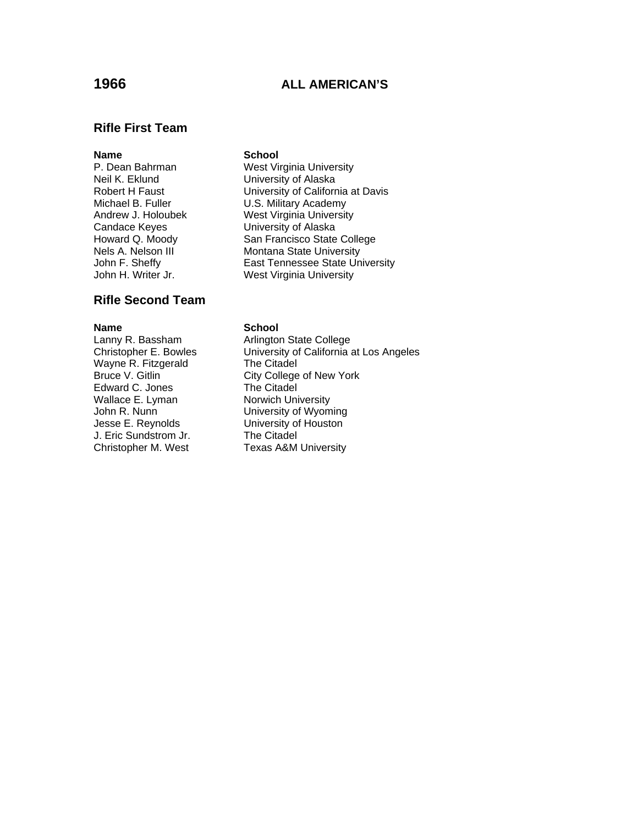# **1966 ALL AMERICAN'S**

### **Rifle First Team**

# **Name**<br> **P. Dean Bahrman**<br> **West Virtual** Neil K. Eklund **Veil K. Eklund** University of Alaska<br>Robert H Faust **B. Economic University of Califor**r Candace Keyes University of Alaska

## **Rifle Second Team**

Wayne R. Fitzgerald The Citadel Edward C. Jones The Citadel Wallace E. Lyman Norwich University John R. Nunn<br>Jesse E. Reynolds **B. Conney State University of Houston** J. Eric Sundstrom Jr. Christopher M. West Texas A&M University

West Virginia University University of California at Davis Michael B. Fuller **U.S. Military Academy** Andrew J. Holoubek West Virginia University Howard Q. Moody San Francisco State College Nels A. Nelson III Montana State University John F. Sheffy **East Tennessee State University** John H. Writer Jr. West Virginia University

### **Name** School

Lanny R. Bassham **Arlington State College** Christopher E. Bowles University of California at Los Angeles Bruce V. Gitlin City College of New York University of Houston<br>The Citadel